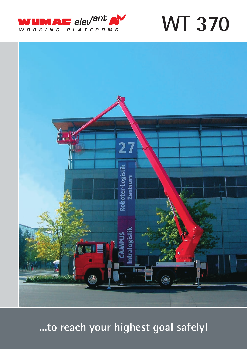

**WT 370** 



...to reach your highest goal safely!